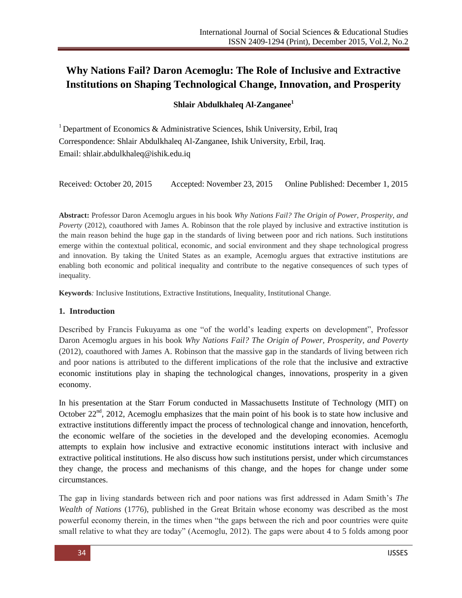# **Why Nations Fail? Daron Acemoglu: The Role of Inclusive and Extractive Institutions on Shaping Technological Change, Innovation, and Prosperity**

## **Shlair Abdulkhaleq Al-Zanganee<sup>1</sup>**

<sup>1</sup> Department of Economics & Administrative Sciences, Ishik University, Erbil, Iraq Correspondence: Shlair Abdulkhaleq Al-Zanganee, Ishik University, Erbil, Iraq. Email: shlair.abdulkhaleq@ishik.edu.iq

Received: October 20, 2015 Accepted: November 23, 2015 Online Published: December 1, 2015

**Abstract:** Professor Daron Acemoglu argues in his book *Why Nations Fail? The Origin of Power, Prosperity, and Poverty* (2012), coauthored with James A. Robinson that the role played by inclusive and extractive institution is the main reason behind the huge gap in the standards of living between poor and rich nations. Such institutions emerge within the contextual political, economic, and social environment and they shape technological progress and innovation. By taking the United States as an example, Acemoglu argues that extractive institutions are enabling both economic and political inequality and contribute to the negative consequences of such types of inequality.

**Keywords***:* Inclusive Institutions, Extractive Institutions, Inequality, Institutional Change.

#### **1. Introduction**

Described by Francis Fukuyama as one "of the world's leading experts on development", Professor Daron Acemoglu argues in his book *Why Nations Fail? The Origin of Power, Prosperity, and Poverty*  (2012), coauthored with James A. Robinson that the massive gap in the standards of living between rich and poor nations is attributed to the different implications of the role that the inclusive and extractive economic institutions play in shaping the technological changes, innovations, prosperity in a given economy.

In his presentation at the Starr Forum conducted in Massachusetts Institute of Technology (MIT) on October  $22<sup>nd</sup>$ , 2012, Acemoglu emphasizes that the main point of his book is to state how inclusive and extractive institutions differently impact the process of technological change and innovation, henceforth, the economic welfare of the societies in the developed and the developing economies. Acemoglu attempts to explain how inclusive and extractive economic institutions interact with inclusive and extractive political institutions. He also discuss how such institutions persist, under which circumstances they change, the process and mechanisms of this change, and the hopes for change under some circumstances.

The gap in living standards between rich and poor nations was first addressed in Adam Smith's *The Wealth of Nations* (1776), published in the Great Britain whose economy was described as the most powerful economy therein, in the times when "the gaps between the rich and poor countries were quite small relative to what they are today" (Acemoglu, 2012). The gaps were about 4 to 5 folds among poor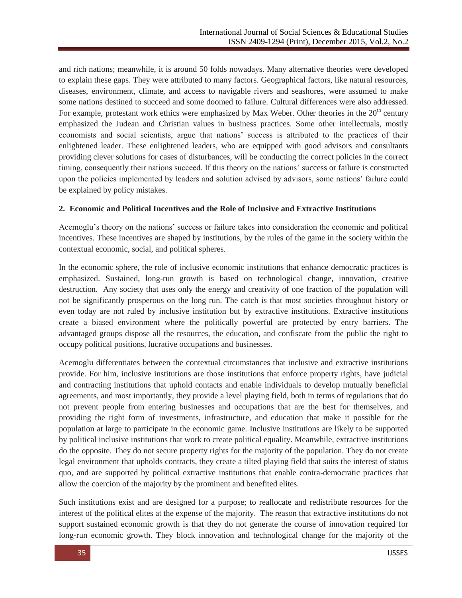and rich nations; meanwhile, it is around 50 folds nowadays. Many alternative theories were developed to explain these gaps. They were attributed to many factors. Geographical factors, like natural resources, diseases, environment, climate, and access to navigable rivers and seashores, were assumed to make some nations destined to succeed and some doomed to failure. Cultural differences were also addressed. For example, protestant work ethics were emphasized by Max Weber. Other theories in the  $20<sup>th</sup>$  century emphasized the Judean and Christian values in business practices. Some other intellectuals, mostly economists and social scientists, argue that nations' success is attributed to the practices of their enlightened leader. These enlightened leaders, who are equipped with good advisors and consultants providing clever solutions for cases of disturbances, will be conducting the correct policies in the correct timing, consequently their nations succeed. If this theory on the nations' success or failure is constructed upon the policies implemented by leaders and solution advised by advisors, some nations' failure could be explained by policy mistakes.

## **2. Economic and Political Incentives and the Role of Inclusive and Extractive Institutions**

Acemoglu's theory on the nations' success or failure takes into consideration the economic and political incentives. These incentives are shaped by institutions, by the rules of the game in the society within the contextual economic, social, and political spheres.

In the economic sphere, the role of inclusive economic institutions that enhance democratic practices is emphasized. Sustained, long-run growth is based on technological change, innovation, creative destruction. Any society that uses only the energy and creativity of one fraction of the population will not be significantly prosperous on the long run. The catch is that most societies throughout history or even today are not ruled by inclusive institution but by extractive institutions. Extractive institutions create a biased environment where the politically powerful are protected by entry barriers. The advantaged groups dispose all the resources, the education, and confiscate from the public the right to occupy political positions, lucrative occupations and businesses.

Acemoglu differentiates between the contextual circumstances that inclusive and extractive institutions provide. For him, inclusive institutions are those institutions that enforce property rights, have judicial and contracting institutions that uphold contacts and enable individuals to develop mutually beneficial agreements, and most importantly, they provide a level playing field, both in terms of regulations that do not prevent people from entering businesses and occupations that are the best for themselves, and providing the right form of investments, infrastructure, and education that make it possible for the population at large to participate in the economic game. Inclusive institutions are likely to be supported by political inclusive institutions that work to create political equality. Meanwhile, extractive institutions do the opposite. They do not secure property rights for the majority of the population. They do not create legal environment that upholds contracts, they create a tilted playing field that suits the interest of status quo, and are supported by political extractive institutions that enable contra-democratic practices that allow the coercion of the majority by the prominent and benefited elites.

Such institutions exist and are designed for a purpose; to reallocate and redistribute resources for the interest of the political elites at the expense of the majority. The reason that extractive institutions do not support sustained economic growth is that they do not generate the course of innovation required for long-run economic growth. They block innovation and technological change for the majority of the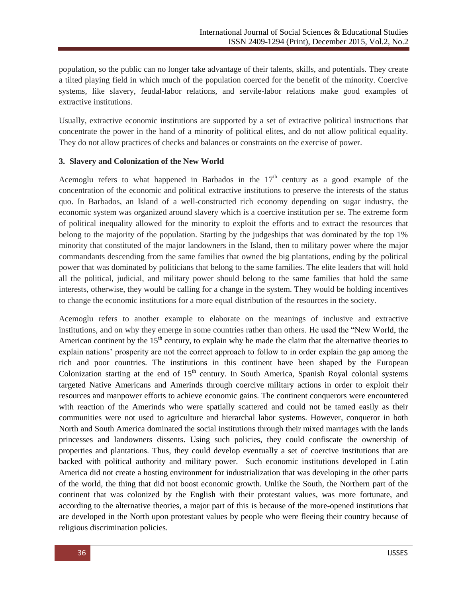population, so the public can no longer take advantage of their talents, skills, and potentials. They create a tilted playing field in which much of the population coerced for the benefit of the minority. Coercive systems, like slavery, feudal-labor relations, and servile-labor relations make good examples of extractive institutions.

Usually, extractive economic institutions are supported by a set of extractive political instructions that concentrate the power in the hand of a minority of political elites, and do not allow political equality. They do not allow practices of checks and balances or constraints on the exercise of power.

# **3. Slavery and Colonization of the New World**

Acemoglu refers to what happened in Barbados in the  $17<sup>th</sup>$  century as a good example of the concentration of the economic and political extractive institutions to preserve the interests of the status quo. In Barbados, an Island of a well-constructed rich economy depending on sugar industry, the economic system was organized around slavery which is a coercive institution per se. The extreme form of political inequality allowed for the minority to exploit the efforts and to extract the resources that belong to the majority of the population. Starting by the judgeships that was dominated by the top 1% minority that constituted of the major landowners in the Island, then to military power where the major commandants descending from the same families that owned the big plantations, ending by the political power that was dominated by politicians that belong to the same families. The elite leaders that will hold all the political, judicial, and military power should belong to the same families that hold the same interests, otherwise, they would be calling for a change in the system. They would be holding incentives to change the economic institutions for a more equal distribution of the resources in the society.

Acemoglu refers to another example to elaborate on the meanings of inclusive and extractive institutions, and on why they emerge in some countries rather than others. He used the "New World, the American continent by the  $15<sup>th</sup>$  century, to explain why he made the claim that the alternative theories to explain nations' prosperity are not the correct approach to follow to in order explain the gap among the rich and poor countries. The institutions in this continent have been shaped by the European Colonization starting at the end of  $15<sup>th</sup>$  century. In South America, Spanish Royal colonial systems targeted Native Americans and Amerinds through coercive military actions in order to exploit their resources and manpower efforts to achieve economic gains. The continent conquerors were encountered with reaction of the Amerinds who were spatially scattered and could not be tamed easily as their communities were not used to agriculture and hierarchal labor systems. However, conqueror in both North and South America dominated the social institutions through their mixed marriages with the lands princesses and landowners dissents. Using such policies, they could confiscate the ownership of properties and plantations. Thus, they could develop eventually a set of coercive institutions that are backed with political authority and military power. Such economic institutions developed in Latin America did not create a hosting environment for industrialization that was developing in the other parts of the world, the thing that did not boost economic growth. Unlike the South, the Northern part of the continent that was colonized by the English with their protestant values, was more fortunate, and according to the alternative theories, a major part of this is because of the more-opened institutions that are developed in the North upon protestant values by people who were fleeing their country because of religious discrimination policies.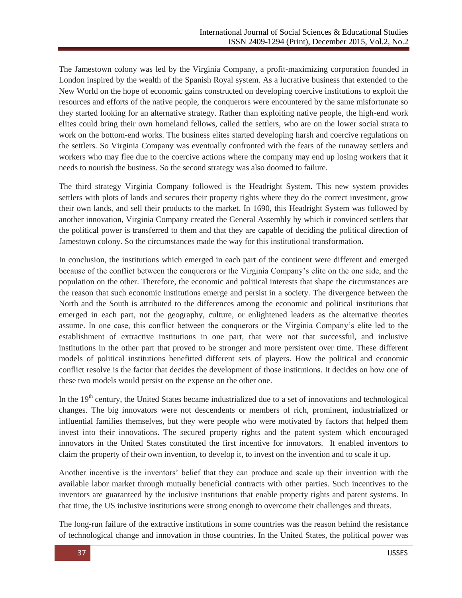The Jamestown colony was led by the Virginia Company, a profit-maximizing corporation founded in London inspired by the wealth of the Spanish Royal system. As a lucrative business that extended to the New World on the hope of economic gains constructed on developing coercive institutions to exploit the resources and efforts of the native people, the conquerors were encountered by the same misfortunate so they started looking for an alternative strategy. Rather than exploiting native people, the high-end work elites could bring their own homeland fellows, called the settlers, who are on the lower social strata to work on the bottom-end works. The business elites started developing harsh and coercive regulations on the settlers. So Virginia Company was eventually confronted with the fears of the runaway settlers and workers who may flee due to the coercive actions where the company may end up losing workers that it needs to nourish the business. So the second strategy was also doomed to failure.

The third strategy Virginia Company followed is the Headright System. This new system provides settlers with plots of lands and secures their property rights where they do the correct investment, grow their own lands, and sell their products to the market. In 1690, this Headright System was followed by another innovation, Virginia Company created the General Assembly by which it convinced settlers that the political power is transferred to them and that they are capable of deciding the political direction of Jamestown colony. So the circumstances made the way for this institutional transformation.

In conclusion, the institutions which emerged in each part of the continent were different and emerged because of the conflict between the conquerors or the Virginia Company's elite on the one side, and the population on the other. Therefore, the economic and political interests that shape the circumstances are the reason that such economic institutions emerge and persist in a society. The divergence between the North and the South is attributed to the differences among the economic and political institutions that emerged in each part, not the geography, culture, or enlightened leaders as the alternative theories assume. In one case, this conflict between the conquerors or the Virginia Company's elite led to the establishment of extractive institutions in one part, that were not that successful, and inclusive institutions in the other part that proved to be stronger and more persistent over time. These different models of political institutions benefitted different sets of players. How the political and economic conflict resolve is the factor that decides the development of those institutions. It decides on how one of these two models would persist on the expense on the other one.

In the 19<sup>th</sup> century, the United States became industrialized due to a set of innovations and technological changes. The big innovators were not descendents or members of rich, prominent, industrialized or influential families themselves, but they were people who were motivated by factors that helped them invest into their innovations. The secured property rights and the patent system which encouraged innovators in the United States constituted the first incentive for innovators. It enabled inventors to claim the property of their own invention, to develop it, to invest on the invention and to scale it up.

Another incentive is the inventors' belief that they can produce and scale up their invention with the available labor market through mutually beneficial contracts with other parties. Such incentives to the inventors are guaranteed by the inclusive institutions that enable property rights and patent systems. In that time, the US inclusive institutions were strong enough to overcome their challenges and threats.

The long-run failure of the extractive institutions in some countries was the reason behind the resistance of technological change and innovation in those countries. In the United States, the political power was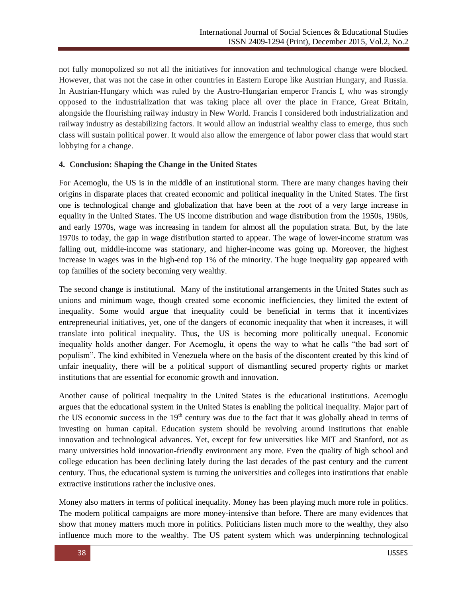not fully monopolized so not all the initiatives for innovation and technological change were blocked. However, that was not the case in other countries in Eastern Europe like Austrian Hungary, and Russia. In Austrian-Hungary which was ruled by the Austro-Hungarian emperor Francis I, who was strongly opposed to the industrialization that was taking place all over the place in France, Great Britain, alongside the flourishing railway industry in New World. Francis I considered both industrialization and railway industry as destabilizing factors. It would allow an industrial wealthy class to emerge, thus such class will sustain political power. It would also allow the emergence of labor power class that would start lobbying for a change.

## **4. Conclusion: Shaping the Change in the United States**

For Acemoglu, the US is in the middle of an institutional storm. There are many changes having their origins in disparate places that created economic and political inequality in the United States. The first one is technological change and globalization that have been at the root of a very large increase in equality in the United States. The US income distribution and wage distribution from the 1950s, 1960s, and early 1970s, wage was increasing in tandem for almost all the population strata. But, by the late 1970s to today, the gap in wage distribution started to appear. The wage of lower-income stratum was falling out, middle-income was stationary, and higher-income was going up. Moreover, the highest increase in wages was in the high-end top 1% of the minority. The huge inequality gap appeared with top families of the society becoming very wealthy.

The second change is institutional. Many of the institutional arrangements in the United States such as unions and minimum wage, though created some economic inefficiencies, they limited the extent of inequality. Some would argue that inequality could be beneficial in terms that it incentivizes entrepreneurial initiatives, yet, one of the dangers of economic inequality that when it increases, it will translate into political inequality. Thus, the US is becoming more politically unequal. Economic inequality holds another danger. For Acemoglu, it opens the way to what he calls "the bad sort of populism‖. The kind exhibited in Venezuela where on the basis of the discontent created by this kind of unfair inequality, there will be a political support of dismantling secured property rights or market institutions that are essential for economic growth and innovation.

Another cause of political inequality in the United States is the educational institutions. Acemoglu argues that the educational system in the United States is enabling the political inequality. Major part of the US economic success in the  $19<sup>th</sup>$  century was due to the fact that it was globally ahead in terms of investing on human capital. Education system should be revolving around institutions that enable innovation and technological advances. Yet, except for few universities like MIT and Stanford, not as many universities hold innovation-friendly environment any more. Even the quality of high school and college education has been declining lately during the last decades of the past century and the current century. Thus, the educational system is turning the universities and colleges into institutions that enable extractive institutions rather the inclusive ones.

Money also matters in terms of political inequality. Money has been playing much more role in politics. The modern political campaigns are more money-intensive than before. There are many evidences that show that money matters much more in politics. Politicians listen much more to the wealthy, they also influence much more to the wealthy. The US patent system which was underpinning technological